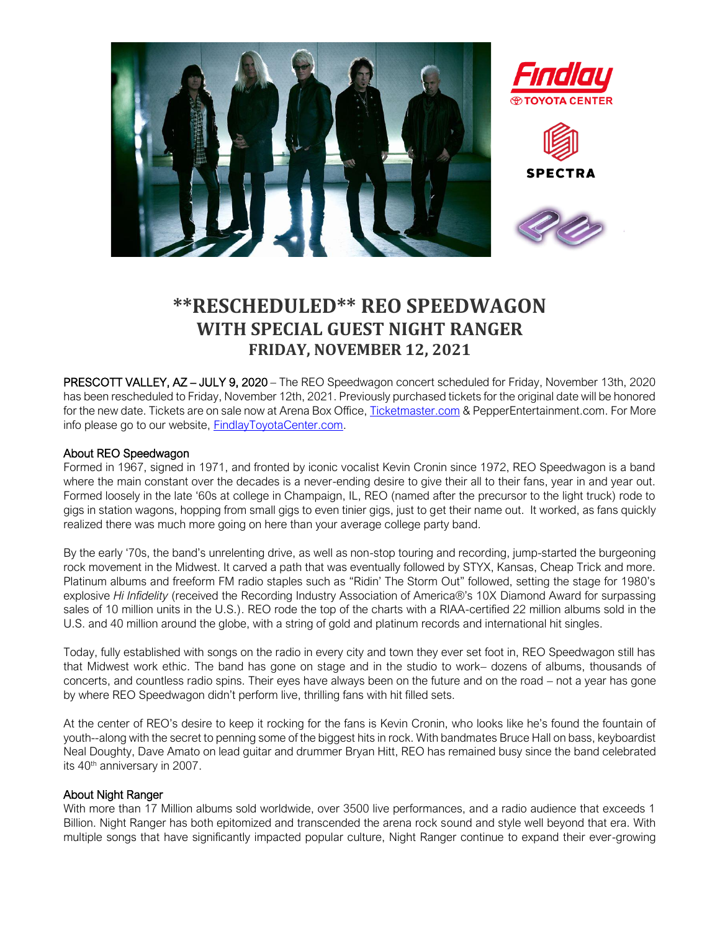

## **\*\*RESCHEDULED\*\* REO SPEEDWAGON WITH SPECIAL GUEST NIGHT RANGER FRIDAY, NOVEMBER 12, 2021**

PRESCOTT VALLEY, AZ – JULY 9, 2020 – The REO Speedwagon concert scheduled for Friday, November 13th, 2020 has been rescheduled to Friday, November 12th, 2021. Previously purchased tickets for the original date will be honored for the new date. Tickets are on sale now at Arena Box Office[, Ticketmaster.com](https://www.ticketmaster.com/event/19005830F10845D3) & PepperEntertainment.com. For More info please go to our website, [FindlayToyotaCenter.com.](http://www.findlaytoyotacenter.com/events/encore-drive-in-nights-presents-blake-shelton-with-very-special-guests-gwen-stefani-and-trace-adkins)

## About REO Speedwagon

Formed in 1967, signed in 1971, and fronted by iconic vocalist Kevin Cronin since 1972, REO Speedwagon is a band where the main constant over the decades is a never-ending desire to give their all to their fans, year in and year out. Formed loosely in the late '60s at college in Champaign, IL, REO (named after the precursor to the light truck) rode to gigs in station wagons, hopping from small gigs to even tinier gigs, just to get their name out. It worked, as fans quickly realized there was much more going on here than your average college party band.

By the early '70s, the band's unrelenting drive, as well as non-stop touring and recording, jump-started the burgeoning rock movement in the Midwest. It carved a path that was eventually followed by STYX, Kansas, Cheap Trick and more. Platinum albums and freeform FM radio staples such as "Ridin' The Storm Out" followed, setting the stage for 1980's explosive *Hi Infidelity* (received the Recording Industry Association of America®'s 10X Diamond Award for surpassing sales of 10 million units in the U.S.). REO rode the top of the charts with a RIAA-certified 22 million albums sold in the U.S. and 40 million around the globe, with a string of gold and platinum records and international hit singles.

Today, fully established with songs on the radio in every city and town they ever set foot in, REO Speedwagon still has that Midwest work ethic. The band has gone on stage and in the studio to work– dozens of albums, thousands of concerts, and countless radio spins. Their eyes have always been on the future and on the road – not a year has gone by where REO Speedwagon didn't perform live, thrilling fans with hit filled sets.

At the center of REO's desire to keep it rocking for the fans is Kevin Cronin, who looks like he's found the fountain of youth--along with the secret to penning some of the biggest hits in rock. With bandmates Bruce Hall on bass, keyboardist Neal Doughty, Dave Amato on lead guitar and drummer Bryan Hitt, REO has remained busy since the band celebrated its 40<sup>th</sup> anniversary in 2007.

## About Night Ranger

With more than 17 Million albums sold worldwide, over 3500 live performances, and a radio audience that exceeds 1 Billion. Night Ranger has both epitomized and transcended the arena rock sound and style well beyond that era. With multiple songs that have significantly impacted popular culture, Night Ranger continue to expand their ever-growing